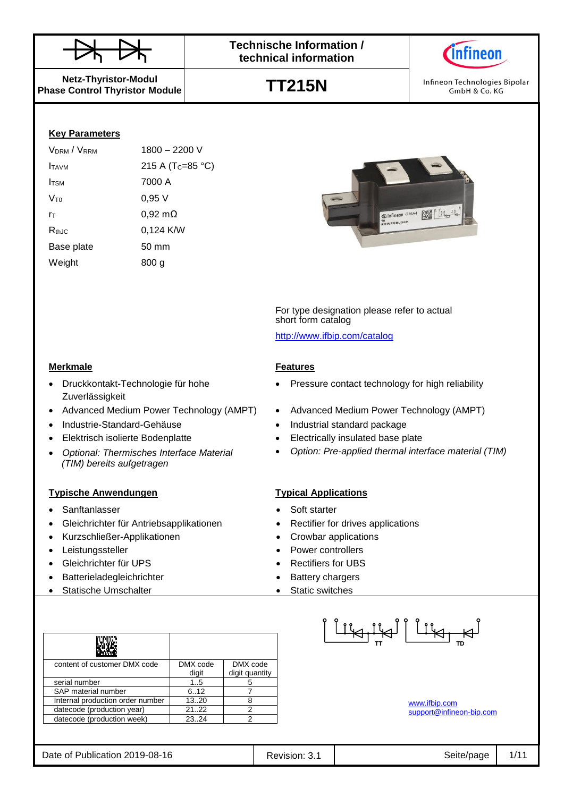



Infineon Technologies Bipolar GmbH & Co. KG

**Netz-Thyristor-Modul Phase Control Thyristor Module**

**Key Parameters**

| 1800 - 2200 V                 |
|-------------------------------|
| 215 A (T <sub>C</sub> =85 °C) |
| 7000 A                        |
| 0,95 V                        |
| 0,92 mΩ                       |
| 0,124 K/W                     |
| 50 mm                         |
| 800 a                         |
|                               |

Druckkontakt-Technologie für hohe

*Optional: Thermisches Interface Material*

*(TIM) bereits aufgetragen*

Zuverlässigkeit





For type designation please refer to actual short form catalog

<http://www.ifbip.com/catalog>

### **Merkmale Features**

- Pressure contact technology for high reliability
- Advanced Medium Power Technology (AMPT) Advanced Medium Power Technology (AMPT)
	- Industrie-Standard-Gehäuse Industrial standard package
	- Elektrisch isolierte Bodenplatte **Electrically** insulated base plate
		- *Option: Pre-applied thermal interface material (TIM)*

### **Typische Anwendungen Typical Applications**

- Sanftanlasser Sanftanlasser Soft starter
- Gleichrichter für Antriebsapplikationen Rectifier for drives applications
- Kurzschließer-Applikationen Crowbar applications
- Leistungssteller **Controllers Power controllers**
- Gleichrichter für UPS Rectifiers for UBS
- Batterieladegleichrichter **abelief and the Statery chargers**
- Statische Umschalter Static switches

| content of customer DMX code     | DMX code | DMX code       |
|----------------------------------|----------|----------------|
|                                  | digit    | digit quantity |
| serial number                    | 15       |                |
| SAP material number              | 6.12     |                |
| Internal production order number | 13.20    |                |
| datecode (production year)       | 2122     |                |
| datecode (production week)       | 23.24    |                |

<u>| Liki jiki | Liki Ha</u>

[www.ifbip.com](http://www.ifbip.com/) [support@infineon-bip.com](mailto:support@infineon-bip.com)

Date of Publication 2019-08-16 **Revision: 3.1** Revision: 3.1 Seite/page 1/11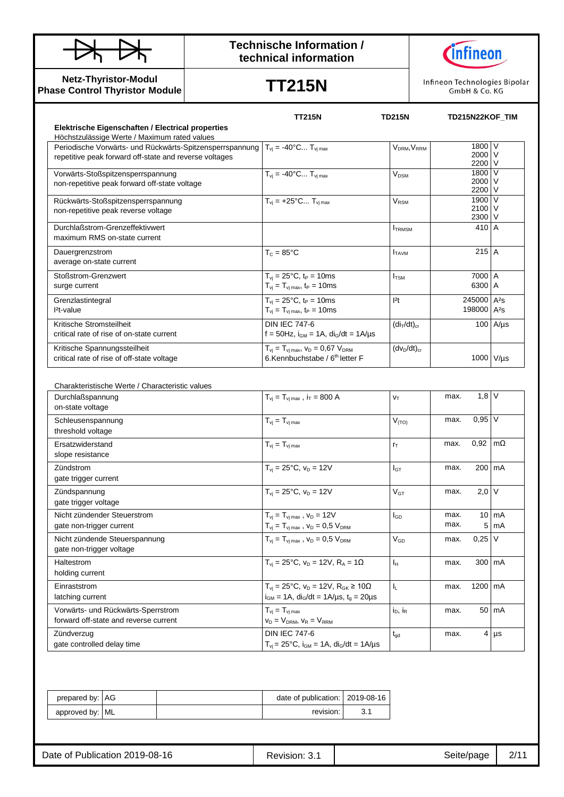



**Netz-Thyristor-Modul Phase Control Thyristor Module**

**TT215N**

Infineon Technologies Bipolar GmbH & Co. KG

|                                                                                                                                                                    | <b>TT215N</b>                                                                                                                     | <b>TD215N</b>                       |              | TD215N22KOF TIM                                    |                                   |
|--------------------------------------------------------------------------------------------------------------------------------------------------------------------|-----------------------------------------------------------------------------------------------------------------------------------|-------------------------------------|--------------|----------------------------------------------------|-----------------------------------|
| Elektrische Eigenschaften / Electrical properties                                                                                                                  |                                                                                                                                   |                                     |              |                                                    |                                   |
| Höchstzulässige Werte / Maximum rated values<br>Periodische Vorwärts- und Rückwärts-Spitzensperrspannung<br>repetitive peak forward off-state and reverse voltages | $T_{vi} = -40^{\circ}C T_{vi}$ max                                                                                                | V <sub>DRM</sub> , V <sub>RRM</sub> |              | 1800 V<br>2000 V<br>2200 V                         |                                   |
| Vorwärts-Stoßspitzensperrspannung<br>non-repetitive peak forward off-state voltage                                                                                 | $T_{vi} = -40^{\circ}C T_{vi max}$                                                                                                | $V_{DSM}$                           |              | 1800 V<br>2000 V<br>2200 V                         |                                   |
| Rückwärts-Stoßspitzensperrspannung<br>non-repetitive peak reverse voltage                                                                                          | $T_{vi} = +25^{\circ}C T_{vi max}$                                                                                                | $V_{\text{RSM}}$                    |              | 1900 V<br>2100 V<br>2300 V                         |                                   |
| Durchlaßstrom-Grenzeffektivwert<br>maximum RMS on-state current                                                                                                    |                                                                                                                                   | <b>ITRMSM</b>                       |              | 410 A                                              |                                   |
| Dauergrenzstrom<br>average on-state current                                                                                                                        | $T_c = 85^{\circ}$ C                                                                                                              | $I_{TAVM}$                          |              | $215$ A                                            |                                   |
| Stoßstrom-Grenzwert<br>surge current                                                                                                                               | $T_{\rm vj} = 25^{\circ}C, t_{\rm P} = 10 \text{ms}$<br>$T_{\rm vj} = T_{\rm vj \, max}$ , t <sub>P</sub> = 10ms                  | I <sub>TSM</sub>                    |              | 7000 A<br>6300 A                                   |                                   |
| Grenzlastintegral<br>$l^2t$ -value                                                                                                                                 | $T_{vi} = 25^{\circ}C$ , t <sub>P</sub> = 10ms<br>$T_{vi} = T_{vi \, max}$ , t <sub>P</sub> = 10ms                                | 2t                                  |              | 245000 A <sup>2</sup> s<br>198000 A <sup>2</sup> s |                                   |
| Kritische Stromsteilheit<br>critical rate of rise of on-state current                                                                                              | <b>DIN IEC 747-6</b><br>f = 50Hz, $i_{GM}$ = 1A, $di_G/dt$ = 1A/µs                                                                | $(di_T/dt)_{cr}$                    |              |                                                    | $100$ A/ $\mu$ s                  |
| Kritische Spannungssteilheit<br>critical rate of rise of off-state voltage                                                                                         | $T_{\rm vj} = T_{\rm vj \, max}$ , $V_{\rm D} = 0.67$ $V_{\rm DRM}$<br>6.Kennbuchstabe / 6 <sup>th</sup> letter F                 | $(dv_D/dt)_{cr}$                    |              | 1000 V/µs                                          |                                   |
|                                                                                                                                                                    |                                                                                                                                   |                                     |              |                                                    |                                   |
| Charakteristische Werte / Characteristic values<br>Durchlaßspannung<br>on-state voltage                                                                            | $T_{vi} = T_{vi \, max}$ , $i_T = 800 \, \text{A}$                                                                                | $V_T$                               | max.         | $1,8$ V                                            |                                   |
| Schleusenspannung<br>threshold voltage                                                                                                                             | $T_{vi} = T_{vi \, max}$                                                                                                          | V <sub>(TO)</sub>                   | max.         | $0,95$ V                                           |                                   |
| Ersatzwiderstand<br>slope resistance                                                                                                                               | $T_{vi} = T_{vi \, max}$                                                                                                          | $r_T$                               | max.         | 0,92                                               | $\mathsf{Im}\Omega$               |
| Zündstrom<br>gate trigger current                                                                                                                                  | $T_{vi} = 25^{\circ}C$ , $v_D = 12V$                                                                                              | $I_{GT}$                            | max.         | 200   mA                                           |                                   |
| Zündspannung<br>gate trigger voltage                                                                                                                               | $T_{vi} = 25^{\circ}C$ , $v_D = 12V$                                                                                              | $\rm V_{GT}$                        | max.         | $2,0$ V                                            |                                   |
| Nicht zündender Steuerstrom<br>gate non-trigger current                                                                                                            | $T_{vi} = T_{vi \, max}$ , $V_D = 12V$<br>$T_{\rm vj} = T_{\rm vj \, max}$ , $V_{\rm D} = 0.5$ $V_{\rm DRM}$                      | l <sub>GD</sub>                     | max.<br>max. |                                                    | $10 \text{ mA}$<br>$5 \text{ mA}$ |
| Nicht zündende Steuerspannung<br>gate non-trigger voltage                                                                                                          | $T_{vj} = T_{vj \, max}$ , $V_D = 0.5 V_{DRM}$                                                                                    | $\mathsf{V}_{\mathsf{GD}}$          | max.         | $0,25$ V                                           |                                   |
| Haltestrom<br>holding current                                                                                                                                      | $T_{vi} = 25^{\circ}C$ , $v_D = 12V$ , $R_A = 1\Omega$                                                                            | $I_{\mathsf{H}}$                    | max.         |                                                    | 300 mA                            |
| Einraststrom<br>latching current                                                                                                                                   | $T_{vi} = 25^{\circ}C$ , $v_D = 12V$ , $R_{GK} \ge 10\Omega$<br>$i_{GM}$ = 1A, di <sub>G</sub> /dt = 1A/µs, t <sub>g</sub> = 20µs | $\mathsf{I}_\mathsf{L}$             | max.         | 1200 mA                                            |                                   |
| Vorwärts- und Rückwärts-Sperrstrom<br>forward off-state and reverse current                                                                                        | $T_{\rm vj} = T_{\rm vj \, max}$<br>$v_D = V_{DRM}$ , $v_R = V_{RRM}$                                                             | $i_D$ , $i_R$                       | max.         |                                                    | 50 mA                             |

| prepared by: AG |  | date of publication:   2019-08-16 |  |
|-----------------|--|-----------------------------------|--|
| approved by: ML |  | revision:                         |  |

Zündverzug

gate controlled delay time

DIN IEC 747-6

 $T_{\text{vj}} = 25^{\circ}\text{C}$ ,  $i_{\text{GM}} = 1\text{A}$ ,  $di_{\text{G}}/dt = 1\text{A}/\mu\text{s}$ 

 $t_{gd}$  max. 4  $\mu s$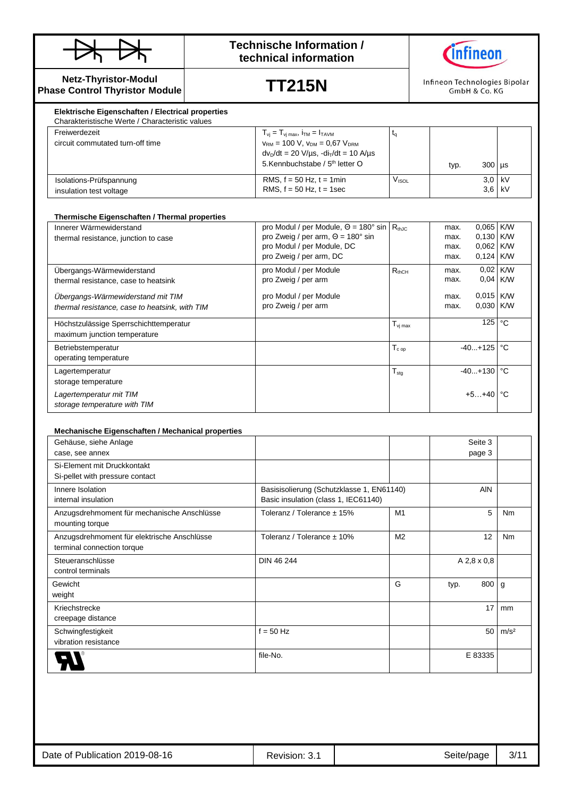



**Netz-Thyristor-Modul Phase Control Thyristor Module**

# **TT215N**

Infineon Technologies Bipolar GmbH & Co. KG

| Freiwerdezeit                                      | $T_{vi} = T_{vi \text{ max}}$ , $i_{TM} = I_{TAVM}$                                                                                                                                                   |       |      |                      |  |
|----------------------------------------------------|-------------------------------------------------------------------------------------------------------------------------------------------------------------------------------------------------------|-------|------|----------------------|--|
| circuit commutated turn-off time                   | $V_{\text{RM}}$ = 100 V, $V_{\text{DM}}$ = 0.67 $V_{\text{DRM}}$<br>$dv_D/dt = 20 \text{ V/}\mu\text{s}$ , $-d\text{i}_T/dt = 10 \text{ A/}\mu\text{s}$<br>5.Kennbuchstabe / 5 <sup>th</sup> letter O |       | typ. | $300$ $\mu s$        |  |
| Isolations-Prüfspannung<br>insulation test voltage | RMS, $f = 50$ Hz, $t = 1$ min<br>RMS, $f = 50$ Hz, $t = 1$ sec                                                                                                                                        | Vıso∟ |      | $3.0$ kV<br>$3.6$ kV |  |

| Innerer Wärmewiderstand                        | pro Modul / per Module, $\Theta = 180^\circ$ sin $\vert R_{th,IC} \vert$ |                                                      | max. | 0,065 K/W             |              |
|------------------------------------------------|--------------------------------------------------------------------------|------------------------------------------------------|------|-----------------------|--------------|
| thermal resistance, junction to case           | pro Zweig / per arm, $\Theta = 180^\circ$ sin                            |                                                      | max. | 0,130 K/W             |              |
|                                                | pro Modul / per Module, DC                                               |                                                      | max. | 0,062 K/W             |              |
|                                                | pro Zweig / per arm, DC                                                  |                                                      | max. | $0,124$ K/W           |              |
| Ubergangs-Wärmewiderstand                      | pro Modul / per Module                                                   | $R_{thCH}$                                           | max. | 0,02 K/W              |              |
| thermal resistance, case to heatsink           | pro Zweig / per arm                                                      |                                                      | max. | $0,04$ K/W            |              |
| Übergangs-Wärmewiderstand mit TIM              | pro Modul / per Module                                                   |                                                      | max. | $0.015$ K/W           |              |
| thermal resistance, case to heatsink, with TIM | pro Zweig / per arm                                                      |                                                      | max. | $0.030$ K/W           |              |
|                                                |                                                                          |                                                      |      |                       |              |
| Höchstzulässige Sperrschichttemperatur         |                                                                          | $\mathsf{T}_{\mathsf{v} \mathsf{j} \, \mathsf{max}}$ |      | 125                   | $^{\circ}$ C |
| maximum junction temperature                   |                                                                          |                                                      |      |                       |              |
| Betriebstemperatur                             |                                                                          | ${\mathsf T}_{\mathtt c}$ op                         |      | $-40+125$ $\degree$ C |              |
| operating temperature                          |                                                                          |                                                      |      |                       |              |
| Lagertemperatur                                |                                                                          | $T_{\text{stg}}$                                     |      | $-40+130$ °C          |              |
| storage temperature                            |                                                                          |                                                      |      |                       |              |
| Lagertemperatur mit TIM                        |                                                                          |                                                      |      | $+5+40$ °C            |              |
| storage temperature with TIM                   |                                                                          |                                                      |      |                       |              |

#### **Mechanische Eigenschaften / Mechanical properties**

| Gehäuse, siehe Anlage                       |                                           |                |      | Seite 3     |                  |
|---------------------------------------------|-------------------------------------------|----------------|------|-------------|------------------|
| case, see annex                             |                                           |                |      | page 3      |                  |
| Si-Element mit Druckkontakt                 |                                           |                |      |             |                  |
| Si-pellet with pressure contact             |                                           |                |      |             |                  |
| Innere Isolation                            | Basisisolierung (Schutzklasse 1, EN61140) |                |      | <b>AIN</b>  |                  |
| internal insulation                         | Basic insulation (class 1, IEC61140)      |                |      |             |                  |
| Anzugsdrehmoment für mechanische Anschlüsse | Toleranz / Tolerance ± 15%                | M1             |      | 5           | Nm               |
| mounting torque                             |                                           |                |      |             |                  |
| Anzugsdrehmoment für elektrische Anschlüsse | Toleranz / Tolerance ± 10%                | M <sub>2</sub> |      | 12          | Nm               |
| terminal connection torque                  |                                           |                |      |             |                  |
| Steueranschlüsse                            | DIN 46 244                                |                |      | A 2,8 x 0,8 |                  |
| control terminals                           |                                           |                |      |             |                  |
| Gewicht                                     |                                           | G              | typ. | 800         | g                |
| weight                                      |                                           |                |      |             |                  |
| Kriechstrecke                               |                                           |                |      | 17          | mm               |
| creepage distance                           |                                           |                |      |             |                  |
| Schwingfestigkeit                           | $f = 50$ Hz                               |                |      | 50          | m/s <sup>2</sup> |
| vibration resistance                        |                                           |                |      |             |                  |
|                                             | file-No.                                  |                |      | E 83335     |                  |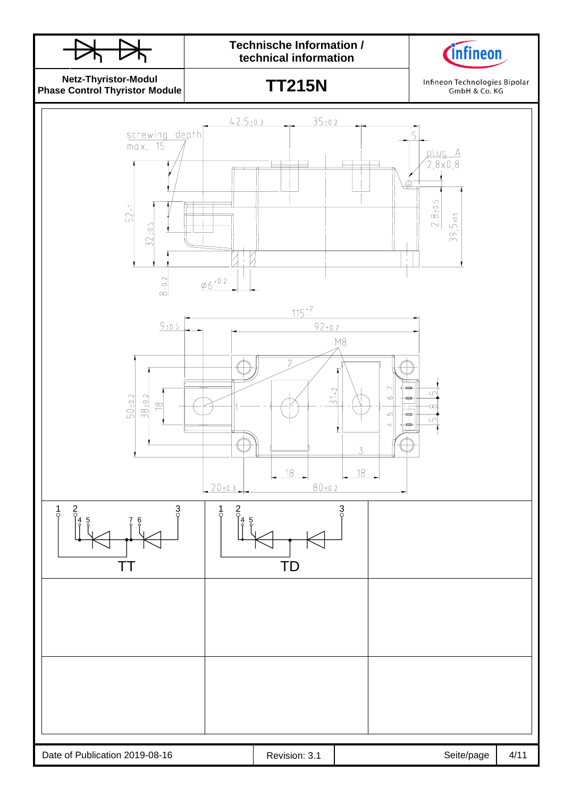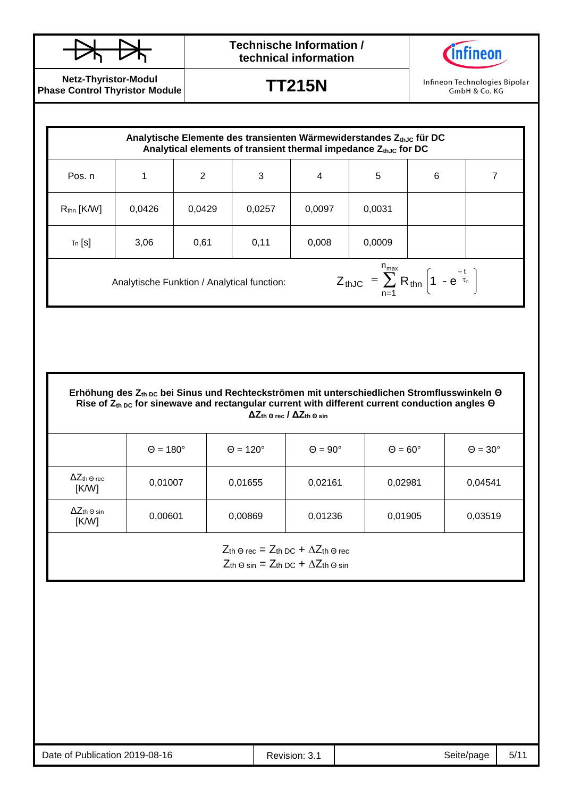

**Netz-Thyristor-Modul Phase Control Thyristor Module**

**TT215N**

Infineon Technologies Bipolar GmbH & Co. KG

| Analytische Elemente des transienten Wärmewiderstandes $Z_{th,0}$ für DC<br>Analytical elements of transient thermal impedance $Z_{thJC}$ for DC |        |        |        |        |        |   |  |
|--------------------------------------------------------------------------------------------------------------------------------------------------|--------|--------|--------|--------|--------|---|--|
| Pos. n                                                                                                                                           | 1      | 2      | 3      | 4      | 5      | 6 |  |
| $R_{\text{thn}}$ [K/W]                                                                                                                           | 0,0426 | 0,0429 | 0,0257 | 0,0097 | 0,0031 |   |  |
| $T_n$ [S]                                                                                                                                        | 3,06   | 0,61   | 0,11   | 0,008  | 0,0009 |   |  |
| $Z_{thJC} = \sum_{n=1}^{n_{max}} R_{thn} \left( 1 - e^{\frac{-t}{\tau_n}} \right)$<br>Analytische Funktion / Analytical function:                |        |        |        |        |        |   |  |

| Erhöhung des $Z_{th,DC}$ bei Sinus und Rechteckströmen mit unterschiedlichen Stromflusswinkeln $\Theta$    |
|------------------------------------------------------------------------------------------------------------|
| Rise of $Z_{th,DC}$ for sinewave and rectangular current with different current conduction angles $\Theta$ |
| $\Delta Z_{\text{th}}$ o rec / $\Delta Z_{\text{th}}$ o sin                                                |

|                                     | $\Theta = 180^\circ$ | $\Theta = 120^\circ$ | $\Theta = 90^\circ$ | $\Theta = 60^\circ$ | $\Theta = 30^\circ$ |
|-------------------------------------|----------------------|----------------------|---------------------|---------------------|---------------------|
| $\Delta Z$ th $\odot$ rec<br>[K/W]  | 0,01007              | 0,01655              | 0,02161             | 0,02981             | 0,04541             |
| $\Delta Z$ th $\Theta$ sin<br>[K/W] | 0,00601              | 0,00869              | 0,01236             | 0,01905             | 0,03519             |

 $Z$ th Θ rec =  $Z$ th DC +  $\Delta Z$ th Θ rec  $Z$ th Θ sin =  $Z$ th DC +  $\Delta Z$ th Θ sin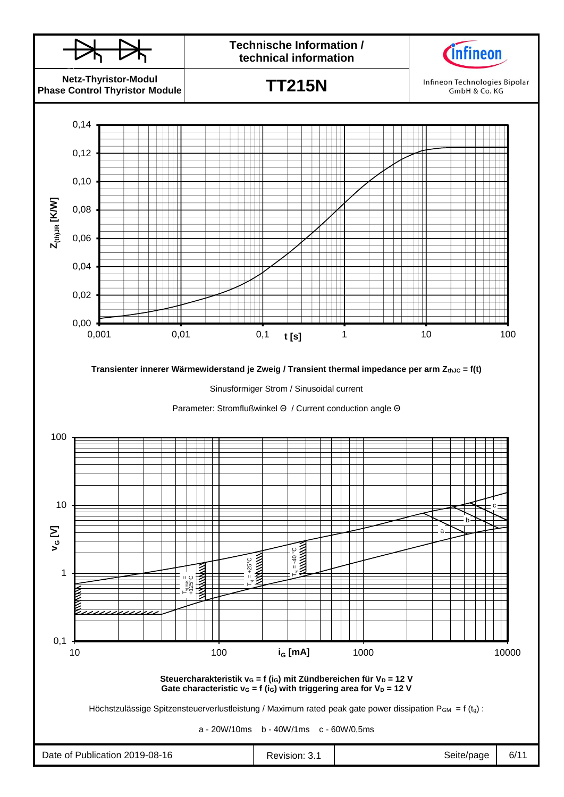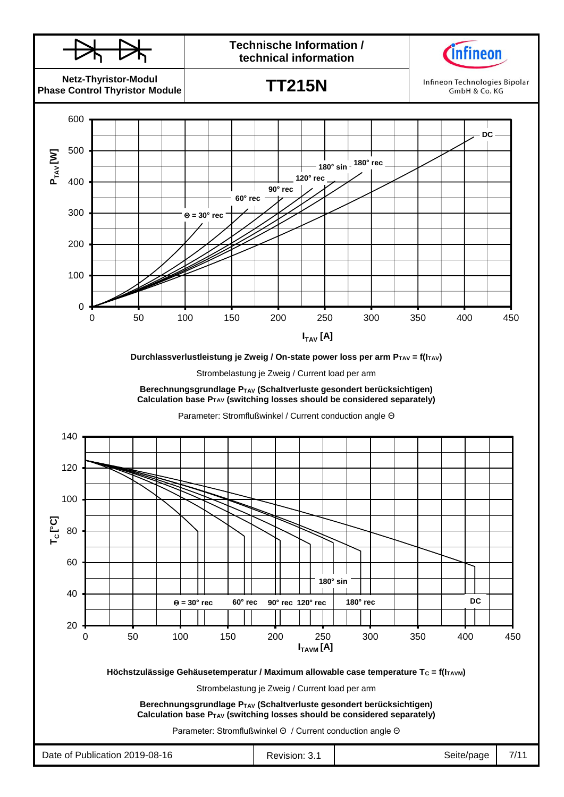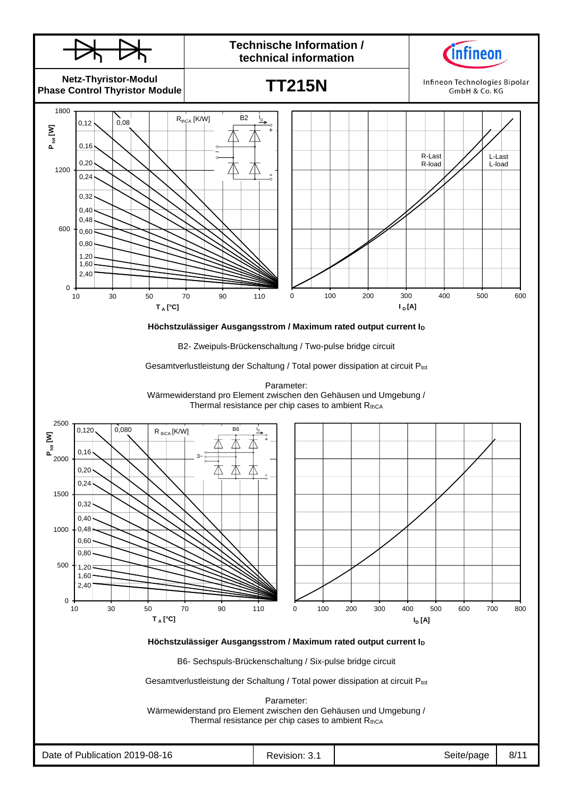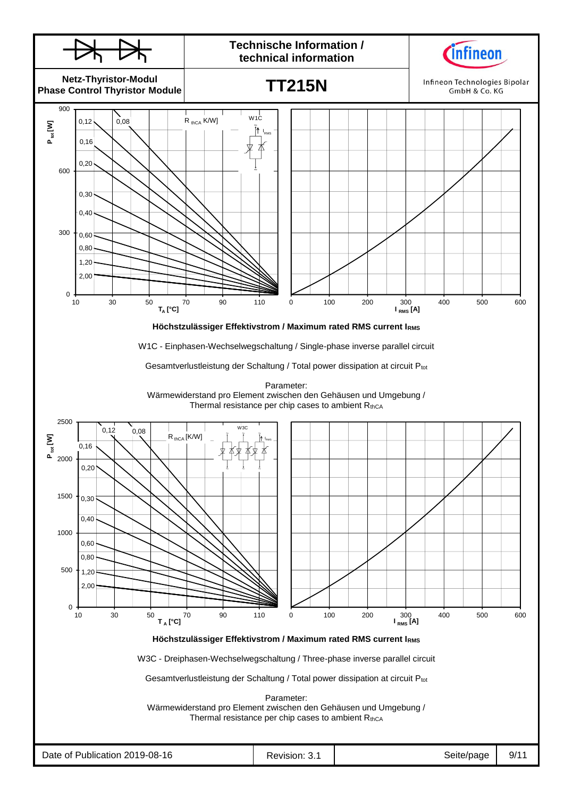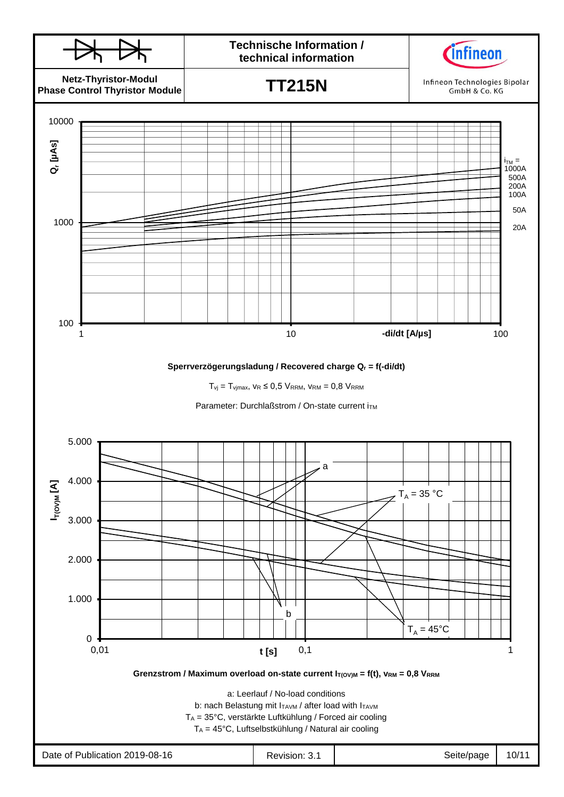